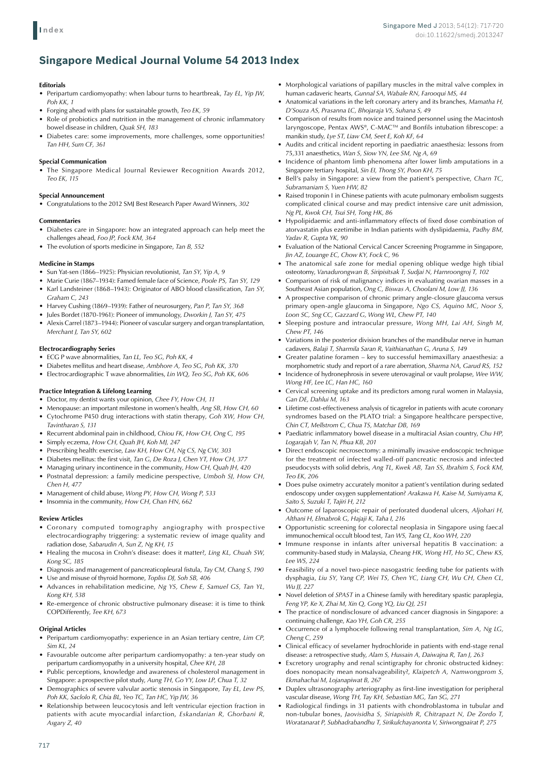# **Singapore Medical Journal Volume 54 2013 Index**

# **Editorials**

- Peripartum cardiomyopathy: when labour turns to heartbreak, *Tay EL, Yip JW*, *Poh KK, 1*
- Forging ahead with plans for sustainable growth, *Teo EK*, 59
- Role of probiotics and nutrition in the management of chronic inflammatory bowel disease in children, *Quak SH, 183*
- Diabetes care: some improvements, more challenges, some opportunities! *Tan HH, Sum CF, 361*

## **Special Communication**

The Singapore Medical Journal Reviewer Recognition Awards 2012, *Teo EK, 115*

#### **Special Announcement**

Congratulations to the 2012 SMJ Best Research Paper Award Winners, 302

#### **Commentaries**

- Diabetes care in Singapore: how an integrated approach can help meet the challenges ahead, *Foo JP, Fock KM, 364*
- • The evolution of sports medicine in Singapore, *Tan B, 552*

#### **Medicine in Stamps**

- • Sun Yat-sen (1866–1925): Physician revolutionist, *Tan SY, Yip A, 9*
- Marie Curie (1867–1934): Famed female face of Science, *Poole PS, Tan SY*, 129 Karl Landsteiner (1868–1943): Originator of ABO blood classification, *Tan SY*, *Graham C, 243*
- • Harvey Cushing (1869–1939): Father of neurosurgery, *Pan P, Tan SY, 368*
- Jules Bordet (1870-1961): Pioneer of immunology, *Dworkin J, Tan SY, 475*
- Alexis Carrel (1873–1944): Pioneer of vascular surgery and organ transplantation, *Merchant J, Tan SY, 602*

#### **Electrocardiography Series**

- ECG P wave abnormalities, Tan LL, Teo SG, Poh KK, 4
- Diabetes mellitus and heart disease, *Ambhore A, Teo SG, Poh KK, 370*
- Electrocardiographic T wave abnormalities, *Lin WQ, Teo SG, Poh KK, 606*

#### **Practice Integration & Lifelong Learning**

- • Doctor, my dentist wants your opinion, *Chee FY, How CH, 11*
- Menopause: an important milestone in women's health, *Ang SB, How CH, 60*
- Cytochrome P450 drug interactions with statin therapy, *Goh XW, How CH, Tavintharan S, 131*
- Recurrent abdominal pain in childhood, *Chiou FK*, *How CH*, *Ong C*, 195
- Simply eczema, How CH, Quah JH, Koh MJ, 247
- • Prescribing health: exercise, *Law KH, How CH, Ng CS, Ng CW, 303*
- Diabetes mellitus: the first visit, *Tan G, De Roza J, Chen YT, How CH, 377*
- • Managing urinary incontinence in the community, *How CH, Quah JH, 420*
- • Postnatal depression: a family medicine perspective, *Umboh SJ, How CH, Chen H, 477*
- • Management of child abuse, *Wong PY, How CH, Wong P, 533*
- • Insomnia in the community, *How CH, Chan HN*, *662*

#### **Review Articles**

- • Coronary computed tomography angiography with prospective electrocardiography triggering: a systematic review of image quality and radiation dose, *Sabarudin A, Sun Z, Ng KH, 15*
- • Healing the mucosa in Crohn's disease: does it matter?, *Ling KL, Chuah SW, Kong SC, 185*
- Diagnosis and management of pancreaticopleural fistula, *Tay CM*, *Chang S*, 190
- Use and misuse of thyroid hormone, *Topliss DJ*, Soh SB, 406 Advances in rehabilitation medicine, *Ng YS, Chew E, Samuel GS, Tan YL*, *Kong KH, 538*
- Re-emergence of chronic obstructive pulmonary disease: it is time to think COPDifferently, *Tee KH, 673*

#### **Original Articles**

- • Peripartum cardiomyopathy: experience in an Asian tertiary centre, *Lim CP, Sim KL, 24*
- • Favourable outcome after peripartum cardiomyopathy: a ten-year study on peripartum cardiomyopathy in a university hospital, *Chee KH, 28*
- Public perceptions, knowledge and awareness of cholesterol management in Singapore: a prospective pilot study, *Aung TH, Go YY, Low LP, Chua T, 32*
- Demographics of severe valvular aortic stenosis in Singapore, *Tay EL, Lew PS*, *Poh KK, Saclolo R, Chia BL, Yeo TC, Tan HC, Yip JW, 36*
- • Relationship between leucocytosis and left ventricular ejection fraction in patients with acute myocardial infarction, *Eskandarian R, Ghorbani R, Asgary Z, 40*
- • Morphological variations of papillary muscles in the mitral valve complex in human cadaveric hearts, *Gunnal SA, Wabale RN, Farooqui MS, 44*
- Anatomical variations in the left coronary artery and its branches, *Mamatha H*, *D'Souza AS, Prasanna LC, Bhojaraja VS, Suhana S, 49*
- Comparison of results from novice and trained personnel using the Macintosh laryngoscope, Pentax AWS®, C-MACTM and Bonfils intubation fibrescope: a manikin study, *Lye ST, Liaw CM, Seet E, Koh KF, 64*
- • Audits and critical incident reporting in paediatric anaesthesia: lessons from 75,331 anaesthetics, *Wan S, Siow YN, Lee SM, Ng A, 69*
- Incidence of phantom limb phenomena after lower limb amputations in a Singapore tertiary hospital, *Sin EI, Thong SY, Poon KH, 75*
- • Bell's palsy in Singapore: a view from the patient's perspective, *Charn TC, Subramaniam S, Yuen HW, 82*
- Raised troponin I in Chinese patients with acute pulmonary embolism suggests complicated clinical course and may predict intensive care unit admission, *Ng PL, Kwok CH, Tsui SH, Tong HK, 86*
- • Hypolipidaemic and anti-inflammatory effects of fixed dose combination of atorvastatin plus ezetimibe in Indian patients with dyslipidaemia, *Padhy BM, Yadav R, Gupta YK, 90*
- Evaluation of the National Cervical Cancer Screening Programme in Singapore, *Jin AZ, Louange EC, Chow KY, Fock C, 96*
- The anatomical safe zone for medial opening oblique wedge high tibial osteotomy, *Vanadurongwan B, Siripisitsak T, Sudjai N, Harnroongroj T, 102*
- • Comparison of risk of malignancy indices in evaluating ovarian masses in a Southeast Asian population, *Ong C, Biswas A, Choolani M, Low JJ, 136*
- • A prospective comparison of chronic primary angle-closure glaucoma versus primary open-angle glaucoma in Singapore, *Ngo CS, Aquino MC, Noor S, Loon SC, Sng CC, Gazzard G, Wong WL, Chew PT, 140*
- • Sleeping posture and intraocular pressure, *Wong MH, Lai AH, Singh M, Chew PT, 146*
- Variations in the posterior division branches of the mandibular nerve in human cadavers, *Balaji T, Sharmila Saran R, Vaithianathan G, Aruna S, 149*
- Greater palatine foramen key to successful hemimaxillary anaesthesia: a morphometric study and report of a rare aberration, *Sharma NA, Garud RS, 152*
- Incidence of hydronephrosis in severe uterovaginal or vault prolapse, Wee WW, *Wong HF, Lee LC, Han HC, 160*
- Cervical screening uptake and its predictors among rural women in Malaysia, *Gan DE, Dahlui M, 163*
- • Lifetime cost-effectiveness analysis of ticagrelor in patients with acute coronary syndromes based on the PLATO trial: a Singapore healthcare perspective, *Chin CT, Mellstrom C, Chua TS, Matchar DB, 169*
- Paediatric inflammatory bowel disease in a multiracial Asian country, *Chu HP*, *Logarajah V, Tan N, Phua KB, 201*
- Direct endoscopic necrosectomy: a minimally invasive endoscopic technique for the treatment of infected walled-off pancreatic necrosis and infected pseudocysts with solid debris, *Ang TL, Kwek AB, Tan SS, Ibrahim S, Fock KM, Teo EK, 206*
- Does pulse oximetry accurately monitor a patient's ventilation during sedated endoscopy under oxygen supplementation? *Arakawa H, Kaise M, Sumiyama K, Saito S, Suzuki T, Tajiri H, 212*
- • Outcome of laparoscopic repair of perforated duodenal ulcers, *Aljohari H, Althani H, Elmabrok G, Hajaji K, Taha I, 216*
- • Opportunistic screening for colorectal neoplasia in Singapore using faecal immunochemical occult blood test, *Tan WS, Tang CL, Koo WH, 220*
- • Immune response in infants after universal hepatitis B vaccination: a community-based study in Malaysia, *Cheang HK, Wong HT, Ho SC, Chew KS, Lee WS, 224*
- Feasibility of a novel two-piece nasogastric feeding tube for patients with dysphagia, *Liu SY, Yang CP, Wei TS, Chen YC, Liang CH, Wu CH, Chen CL, Wu JJ, 227*
- Novel deletion of *SPAST* in a Chinese family with hereditary spastic paraplegia, *Feng YP, Ke X, Zhai M, Xin Q, Gong YQ, Liu QJ, 251*
- The practice of nondisclosure of advanced cancer diagnosis in Singapore: a continuing challenge, *Kao YH, Goh CR, 255*
- Occurrence of a lymphocele following renal transplantation, *Sim A, Ng LG*, *Cheng C, 259*
- • Clinical efficacy of sevelamer hydrochloride in patients with end-stage renal disease: a retrospective study, *Alam S, Hussain A, Daiwajna R, Tan J, 263*
- • Excretory urography and renal scintigraphy for chronic obstructed kidney: does nonopacity mean nonsalvageability?, *Klaipetch A, Namwongprom S, Ekmahachai M, Lojanapiwat B, 267*
- • Duplex ultrasonography arteriography as first-line investigation for peripheral vascular disease, *Wong TH, Tay KH, Sebastian MG, Tan SG, 271*
- • Radiological findings in 31 patients with chondroblastoma in tubular and non-tubular bones, *Jaovisidha S, Siriapisith R, Chitrapazt N, De Zordo T, Woratanarat P, Subhadrabandhu T, Sirikulchayanonta V, Siriwongpairat P, 275*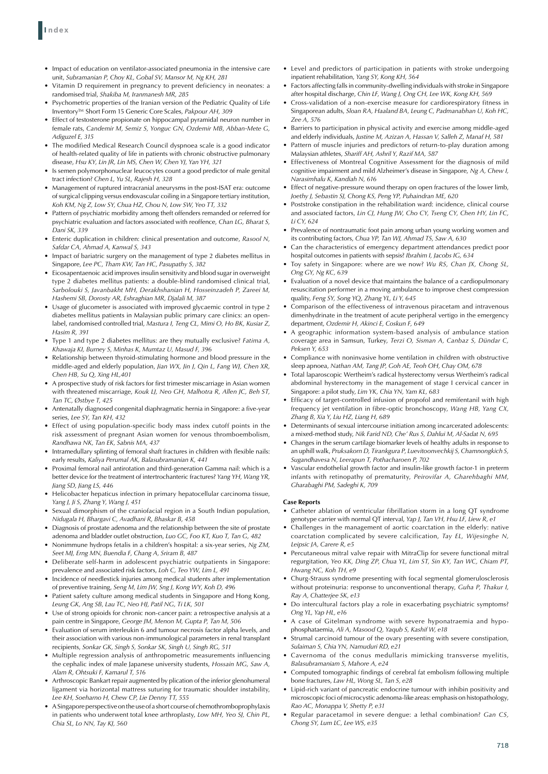- Impact of education on ventilator-associated pneumonia in the intensive care unit, *Subramanian P, Choy KL, Gobal SV, Mansor M, Ng KH, 281*
- Vitamin D requirement in pregnancy to prevent deficiency in neonates: a randomised trial, *Shakiba M, Iranmanesh MR, 285*
- Psychometric properties of the Iranian version of the Pediatric Quality of Life Inventory™ Short Form 15 Generic Core Scales, *Pakpour AH, 309*
- Effect of testosterone propionate on hippocampal pyramidal neuron number in female rats, *Candemir M, Semiz S, Yonguc GN, Ozdemir MB, Abban-Mete G, Adiguzel E, 315*
- The modified Medical Research Council dyspnoea scale is a good indicator of health-related quality of life in patients with chronic obstructive pulmonary disease, *Hsu KY, Lin JR, Lin MS, Chen W, Chen YJ, Yan YH, 321*
- Is semen polymorphonuclear leucocytes count a good predictor of male genital tract infection? *Chen L, Yu SL, Rajesh H, 328*
- Management of ruptured intracranial aneurysms in the post-ISAT era: outcome of surgical clipping versus endovascular coiling in a Singapore tertiary institution, *Koh KM, Ng Z, Low SY, Chua HZ, Chou N, Low SW, Yeo TT, 332*
- Pattern of psychiatric morbidity among theft offenders remanded or referred for psychiatric evaluation and factors associated with reoffence, *Chan LG, Bharat S, Dani SK, 339*
- Enteric duplication in children: clinical presentation and outcome, *Rasool N*, *Safdar CA, Ahmad A, Kanwal S, 343*
- Impact of bariatric surgery on the management of type 2 diabetes mellitus in Singapore, *Lee PC, Tham KW, Tan HC, Pasupathy S, 382*
- Eicosapentaenoic acid improves insulin sensitivity and blood sugar in overweight type 2 diabetes mellitus patients: a double-blind randomised clinical trial, *Sarbolouki S, Javanbakht MH, Derakhshanian H, Hosseinzadeh P, Zareei M, Hashemi SB, Dorosty AR, Eshraghian MR, Djalali M, 387*
- Usage of glucometer is associated with improved glycaemic control in type 2 diabetes mellitus patients in Malaysian public primary care clinics: an openlabel, randomised controlled trial, *Mastura I, Teng CL, Mimi O, Ho BK, Kusiar Z, Hasim R, 391*
- Type 1 and type 2 diabetes mellitus: are they mutually exclusive? *Fatima A*, *Khawaja KI, Burney S, Minhas K, Mumtaz U, Masud F, 396*
- • Relationship between thyroid-stimulating hormone and blood pressure in the middle-aged and elderly population, *Jian WX, Jin J, Qin L, Fang WJ, Chen XR, Chen HB, Su Q, Xing HL,401*
- • A prospective study of risk factors for first trimester miscarriage in Asian women with threatened miscarriage, *Kouk LJ, Neo GH, Malhotra R, Allen JC, Beh ST, Tan TC, Østbye T, 425*
- • Antenatally diagnosed congenital diaphragmatic hernia in Singapore: a five-year series, *Lee SY, Tan KH, 432*
- Effect of using population-specific body mass index cutoff points in the risk assessment of pregnant Asian women for venous thromboembolism, *Randhawa NK, Tan EK, Sabnis MA, 437*
- Intramedullary splinting of femoral shaft fractures in children with flexible nails: early results, *Kaliya Perumal AK, Balasubramanian K, 441*
- Proximal femoral nail antirotation and third-generation Gamma nail: which is a better device for the treatment of intertrochanteric fractures? *Yang YH, Wang YR, Jiang SD, Jiang LS, 446*
- Helicobacter hepaticus infection in primary hepatocellular carcinoma tissue, *Yang J, Ji S, Zhang Y, Wang J, 451*
- Sexual dimorphism of the craniofacial region in a South Indian population, *Nidugala H, Bhargavi C, Avadhani R, Bhaskar B, 458*
- • Diagnosis of prostate adenoma and the relationship between the site of prostate adenoma and bladder outlet obstruction, *Luo GC, Foo KT, Kuo T, Tan G, 482*
- Nonimmune hydrops fetalis in a children's hospital: a six-year series, *Ng ZM*, *Seet MJ, Erng MN, Buendia F, Chang A, Sriram B, 487*
- • Deliberate self-harm in adolescent psychiatric outpatients in Singapore: prevalence and associated risk factors, *Loh C, Teo YW, Lim L, 491*
- • Incidence of needlestick injuries among medical students after implementation of preventive training, *Seng M, Lim JW, Sng J, Kong WY, Koh D, 496*
- Patient safety culture among medical students in Singapore and Hong Kong, *Leung GK, Ang SB, Lau TC, Neo HJ, Patil NG, Ti LK, 501*
- Use of strong opioids for chronic non-cancer pain: a retrospective analysis at a pain centre in Singapore, *George JM, Menon M, Gupta P, Tan M, 506*
- • Evaluation of serum interleukin 6 and tumour necrosis factor alpha levels, and their association with various non-immunological parameters in renal transplant recipients, *Sonkar GK, Singh S, Sonkar SK, Singh U, Singh RG, 511*
- Multiple regression analysis of anthropometric measurements influencing the cephalic index of male Japanese university students, *Hossain MG, Saw A, Alam R, Ohtsuki F, Kamarul T, 516*
- Arthroscopic Bankart repair augmented by plication of the inferior glenohumeral ligament via horizontal mattress suturing for traumatic shoulder instability, *Lee KH, Soeharno H, Chew CP, Lie Denny TT, 555*
- • ASingaporeperspectiveontheuseof a short courseof chemothromboprophylaxis in patients who underwent total knee arthroplasty, *Low MH, Yeo SJ, Chin PL, Chia SL, Lo NN, Tay KJ, 560*
- Level and predictors of participation in patients with stroke undergoing inpatient rehabilitation, *Yang SY, Kong KH, 564*
- Factors affecting falls in community-dwelling individuals with stroke in Singapore after hospital discharge, *Chin LF, Wang J, Ong CH, Lee WK, Kong KH, 569*
- Cross-validation of a non-exercise measure for cardiorespiratory fitness in Singaporean adults, *Sloan RA, Haaland BA, Leung C, Padmanabhan U, Koh HC, Zee A, 576*
- Barriers to participation in physical activity and exercise among middle-aged and elderly individuals, *Justine M, Azizan A, Hassan V, Salleh Z, Manaf H, 581*
- Pattern of muscle injuries and predictors of return-to-play duration among Malaysian athletes, *Shariff AH, Ashril Y, Razif MA, 587*
- Effectiveness of Montreal Cognitive Assessment for the diagnosis of mild cognitive impairment and mild Alzheimer's disease in Singapore, *Ng A, Chew I, Narasimhalu K, Kandiah N, 616*
- Effect of negative-pressure wound therapy on open fractures of the lower limb, *Joethy J, Sebastin SJ, Chong KS, Peng YP, Puhaindran ME, 620*
- • Poststroke constipation in the rehabilitation ward: incidence, clinical course and associated factors, *Lin CJ, Hung JW, Cho CY, Tseng CY, Chen HY, Lin FC, Li CY, 624*
- Prevalence of nontraumatic foot pain among urban young working women and its contributing factors, *Chua YP, Tan WJ, Ahmad TS, Saw A, 630*
- • Can the characteristics of emergency department attendances predict poor hospital outcomes in patients with sepsis? *Ibrahim I, Jacobs IG, 634*
- • Toy safety in Singapore: where are we now? *Wu RS, Chan JX, Chong SL, Ong GY, Ng KC, 639*
- Evaluation of a novel device that maintains the balance of a cardiopulmonary resuscitation performer in a moving ambulance to improve chest compression quality, *Feng SY, Song YQ, Zhang YL, Li Y, 645*
- • Comparison of the effectiveness of intravenous piracetam and intravenous dimenhydrinate in the treatment of acute peripheral vertigo in the emergency department, *Ozdemir H, Akinci E, Coskun F, 649*
- A geographic information system-based analysis of ambulance station coverage area in Samsun, Turkey, *Terzi O, Sisman A, Canbaz S, Dündar C, Peksen Y, 653*
- • Compliance with noninvasive home ventilation in children with obstructive sleep apnoea, *Nathan AM, Tang JP, Goh AE, Teoh OH, Chay OM, 678*
- Total laparoscopic Wertheim's radical hysterectomy versus Wertheim's radical abdominal hysterectomy in the management of stage I cervical cancer in Singapore: a pilot study, *Lim YK, Chia YN, Yam KL, 683*
- Efficacy of target-controlled infusion of propofol and remifentanil with high frequency jet ventilation in fibre-optic bronchoscopy, *Wang HB, Yang CX, Zhang B, Xia Y, Liu HZ, Liang H, 689*
- Determinants of sexual intercourse initiation among incarcerated adolescents: a mixed-method study, *Nik Farid ND, Che' Rus S, Dahlui M, Al-Sadat N, 695*
- • Changes in the serum cartilage biomarker levels of healthy adults in response to an uphill walk, *Pruksakorn D, Tirankgura P, Luevitoonvechkij S, Chamnongkich S, Sugandhavesa N, Leerapun T, Pothacharoen P, 702*
- Vascular endothelial growth factor and insulin-like growth factor-1 in preterm infants with retinopathy of prematurity, *Peirovifar A, Gharehbaghi MM, Gharabaghi PM, Sadeghi K, 709*

## **Case Reports**

- Catheter ablation of ventricular fibrillation storm in a long QT syndrome genotype carrier with normal QT interval, *Yap J, Tan VH, Hsu LF, Liew R, e1*
- • Challenges in the management of aortic coarctation in the elderly: native coarctation complicated by severe calcification, *Tay EL, Wijesinghe N, Leipsic JA, Carere R, e5*
- • Percutaneous mitral valve repair with MitraClip for severe functional mitral regurgitation, *Yeo KK, Ding ZP, Chua YL, Lim ST, Sin KY, Tan WC, Chiam PT, Hwang NC, Koh TH, e9*
- Churg-Strauss syndrome presenting with focal segmental glomerulosclerosis without proteinuria: response to unconventional therapy, *Guha P, Thakur I, Ray A, Chatterjee SK, e13*
- Do intercultural factors play a role in exacerbating psychiatric symptoms? *Ong YL, Yap HL, e16*
- A case of Gitelman syndrome with severe hyponatraemia and hypophosphataemia, *Ali A, Masood Q, Yaqub S, Kashif W, e18*
- • Strumal carcinoid tumour of the ovary presenting with severe constipation, *Sulaiman S, Chia YN, Namuduri RD, e21*
- Cavernoma of the conus medullaris mimicking transverse myelitis, *Balasubramaniam S, Mahore A, e24*
- Computed tomographic findings of cerebral fat embolism following multiple bone fractures, *Law HL, Wong SL, Tan S, e28*
- Lipid-rich variant of pancreatic endocrine tumour with inhibin positivity and microscopic foci of microcystic adenoma-like areas: emphasis on histopathology, *Rao AC, Monappa V, Shetty P, e31*
- • Regular paracetamol in severe dengue: a lethal combination? *Gan CS, Chong SY, Lum LC, Lee WS, e35*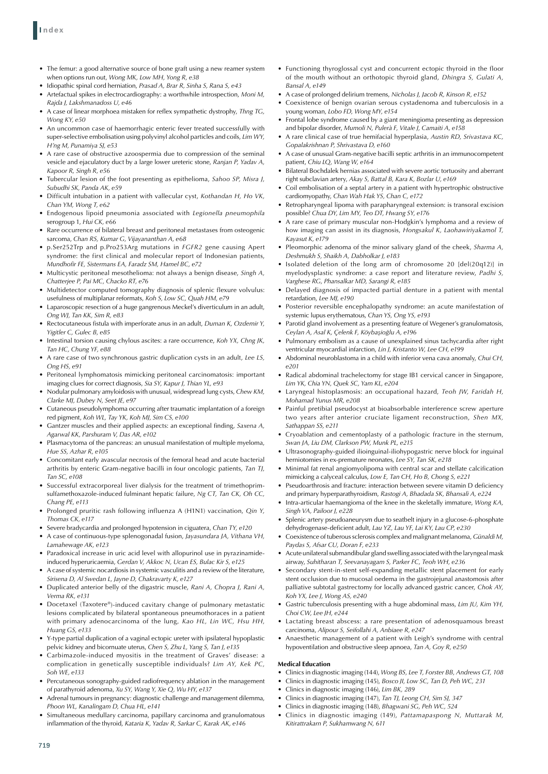- The femur: a good alternative source of bone graft using a new reamer system when options run out, *Wong MK, Low MH, Yong R, e38*
- • Idiopathic spinal cord herniation, *Prasad A, Brar R, Sinha S, Rana S, e43*
- Artefactual spikes in electrocardiography: a worthwhile introspection, Moni M, *Rajda J, Lakshmanadoss U, e46*
- A case of linear morphoea mistaken for reflex sympathetic dystrophy, *Thng TG*, *Wong KY, e50*
- An uncommon case of haemorrhagic enteric fever treated successfully with super-selective embolisation using polyvinyl alcohol particles and coils, *Lim WY, H'ng M, Punamiya SJ, e53*
- A rare case of obstructive azoospermia due to compression of the seminal vesicle and ejaculatory duct by a large lower ureteric stone, *Ranjan P, Yadav A, Kapoor R, Singh R, e56*
- • Tubercular lesion of the foot presenting as epithelioma, *Sahoo SP, Misra J, Subudhi SK, Panda AK, e59*
- Difficult intubation in a patient with vallecular cyst, *Kothandan H, Ho VK*, *Chan YM, Wong T, e62*
- Endogenous lipoid pneumonia associated with *Legionella pneumophila* serogroup 1, *Hui CK, e66*
- Rare occurrence of bilateral breast and peritoneal metastases from osteogenic sarcoma, *Chan RS, Kumar G, Vijayananthan A, e68*
- p.Ser252Trp and p.Pro253Arg mutations in FGFR2 gene causing Apert syndrome: the first clinical and molecular report of Indonesian patients, *Mundhofir FE, Sistermans EA, Faradz SM, Hamel BC, e72*
- • Multicystic peritoneal mesothelioma: not always a benign disease, *Singh A, Chatterjee P, Pai MC, Chacko RT, e76*
- Multidetector computed tomography diagnosis of splenic flexure volvulus: usefulness of multiplanar reformats, *Koh S, Low SC, Quah HM, e79*
- Laparoscopic resection of a huge gangrenous Meckel's diverticulum in an adult, *Ong WJ, Tan KK, Sim R, e83*
- Rectocutaneous fistula with imperforate anus in an adult, *Duman K, Ozdemir Y*, *Yigitler C, Gulec B, e85*
- Intestinal torsion causing chylous ascites: a rare occurrence, *Koh YX*, *Chng JK*, *Tan HC, Chung YF, e88*
- A rare case of two synchronous gastric duplication cysts in an adult, Lee LS, *Ong HS, e91*
- Peritoneal lymphomatosis mimicking peritoneal carcinomatosis: important imaging clues for correct diagnosis, *Sia SY, Kapur J, Thian YL, e93*
- Nodular pulmonary amyloidosis with unusual, widespread lung cysts, *Chew KM*, *Clarke MJ, Dubey N, Seet JE, e97*
- Cutaneous pseudolymphoma occurring after traumatic implantation of a foreign red pigment, *Koh WL, Tay YK, Koh MJ, Sim CS, e100*
- Gantzer muscles and their applied aspects: an exceptional finding, *Saxena A*, *Agarwal KK, Parshuram V, Das AR, e102*
- Plasmacytoma of the pancreas: an unusual manifestation of multiple myeloma, *Hue SS, Azhar R, e105*
- • Concomitant early avascular necrosis of the femoral head and acute bacterial arthritis by enteric Gram-negative bacilli in four oncologic patients, *Tan TJ, Tan SC, e108*
- Successful extracorporeal liver dialysis for the treatment of trimethoprimsulfamethoxazole-induced fulminant hepatic failure, *Ng CT, Tan CK, Oh CC, Chang PE, e113*
- Prolonged pruritic rash following influenza A (H1N1) vaccination, *Oin Y*, *Thomas CK, e117*
- Severe bradycardia and prolonged hypotension in ciguatera, *Chan TY*, e120
- A case of continuous-type splenogonadal fusion, *Jayasundara JA*, Vithana VH, *Lamahewage AK, e123*
- Paradoxical increase in uric acid level with allopurinol use in pyrazinamideinduced hyperuricaemia, *Gerdan V, Akkoc N, Ucan ES, Bulac Kir S, e125*
- A case of systemic nocardiosis in systemic vasculitis and a review of the literature, *Sirisena D, Al Swedan L, Jayne D, Chakravarty K, e127*
- • Duplicated anterior belly of the digastric muscle, *Rani A, Chopra J, Rani A, Verma RK, e131*
- Docetaxel (Taxotere®)-induced cavitary change of pulmonary metastatic lesions complicated by bilateral spontaneous pneumothoraces in a patient with primary adenocarcinoma of the lung, *Kao HL, Lin WC, Hsu HH, Huang GS, e133*
- • Y-type partial duplication of a vaginal ectopic ureter with ipsilateral hypoplastic pelvic kidney and bicornuate uterus, *Chen S, Zhu L, Yang S, Tan J, e135*
- Carbimazole-induced myositis in the treatment of Graves' disease: a complication in genetically susceptible individuals? *Lim AY, Kek PC, Soh WE, e133*
- Percutaneous sonography-guided radiofrequency ablation in the management of parathyroid adenoma, *Xu SY, Wang Y, Xie Q, Wu HY, e137*
- Adrenal tumours in pregnancy: diagnostic challenge and management dilemma, *Phoon WL, Kanalingam D, Chua HL, e141*
- Simultaneous medullary carcinoma, papillary carcinoma and granulomatous inflammation of the thyroid, *Kataria K, Yadav R, Sarkar C, Karak AK, e146*
- • Functioning thyroglossal cyst and concurrent ectopic thyroid in the floor of the mouth without an orthotopic thyroid gland, *Dhingra S, Gulati A, Bansal A, e149*
- • A case of prolonged delirium tremens, *Nicholas J, Jacob R, Kinson R, e152*
- Coexistence of benign ovarian serous cystadenoma and tuberculosis in a young woman, *Lobo FD, Wong MY, e154*
- Frontal lobe syndrome caused by a giant meningioma presenting as depression and bipolar disorder, *Mumoli N, Pulerà F, Vitale J, Camaiti A, e158*
- • A rare clinical case of true hemifacial hyperplasia, *Austin RD, Srivastava KC, Gopalakrishnan P, Shrivastava D, e160*
- A case of unusual Gram-negative bacilli septic arthritis in an immunocompetent patient, *Chiu LQ, Wang W, e164*
- **Bilateral Bochdalek hernias associated with severe aortic tortuosity and aberrant** right subclavian artery, *Akay S, Battal B, Kara K, Bozlar U, e169*
- • Coil embolisation of a septal artery in a patient with hypertrophic obstructive cardiomyopathy, *Chan Wah Hak YS, Chan C, e172*
- • Retropharyngeal lipoma with parapharyngeal extension: is transoral excision possible? *Chua DY, Lim MY, Teo DT, Hwang SY, e176*
- A rare case of primary muscular non-Hodgkin's lymphoma and a review of how imaging can assist in its diagnosis, *Hongsakul K, Laohawiriyakamol T, Kayasut K, e179*
- Pleomorphic adenoma of the minor salivary gland of the cheek, *Sharma A*, *Deshmukh S, Shaikh A, Dabholkar J, e183*
- • Isolated deletion of the long arm of chromosome 20 [del(20q12)] in myelodysplastic syndrome: a case report and literature review, *Padhi S, Varghese RG, Phansalkar MD, Sarangi R, e185*
- Delayed diagnosis of impacted partial denture in a patient with mental retardation, *Lee MJ, e190*
- • Posterior reversible encephalopathy syndrome: an acute manifestation of systemic lupus erythematous, *Chan YS, Ong YS, e193*
- Parotid gland involvement as a presenting feature of Wegener's granulomatosis, *Ceylan A, Asal K, Çelenk F, Köybaşioğlu A, e196*
- Pulmonary embolism as a cause of unexplained sinus tachycardia after right ventricular myocardial infarction, *Lin J, Kristanto W, Lee CH, e199*
- • Abdominal neuroblastoma in a child with inferior vena cava anomaly, *Chui CH, e201*
- Radical abdominal trachelectomy for stage IB1 cervical cancer in Singapore, *Lim YK, Chia YN, Quek SC, Yam KL, e204*
- • Laryngeal histoplasmosis: an occupational hazard, *Teoh JW, Faridah H, Mohamad Yunus MR, e208*
- • Painful pretibial pseudocyst at bioabsorbable interference screw aperture two years after anterior cruciate ligament reconstruction, *Shen MX, Sathappan SS, e211*
- • Cryoablation and cementoplasty of a pathologic fracture in the sternum, *Swan JA, Liu DM, Clarkson PW, Munk PL, e215*
- Ultrasonography-guided ilioinguinal-iliohypogastric nerve block for inguinal herniotomies in ex-premature neonates, *Lee SY, Tan SK, e218*
- • Minimal fat renal angiomyolipoma with central scar and stellate calcification mimicking a calyceal calculus, *Low E, Tan CH, Ho B, Chong S, e221*
- Pseudoarthrosis and fracture: interaction between severe vitamin D deficiency and primary hyperparathyroidism, *Rastogi A, Bhadada SK, Bhansali A, e224*
- • Intra-articular haemangioma of the knee in the skeletally immature, *Wong KA, Singh VA, Pailoor J, e228*
- Splenic artery pseudoaneurysm due to seatbelt injury in a glucose-6-phosphate dehydrogenase-deficient adult, *Lau YZ, Lau YF, Lai KY, Lau CP, e230*
- Coexistence of tuberous sclerosis complex and malignant melanoma, *Günaldi M*, *Paydas S, Afsar CU, Doran F, e233*
- Acute unilateral submandibular gland swelling associated with the laryngeal mask airway, *Suhitharan T, Seevanayagam S, Parker FC, Teoh WH, e236*
- • Secondary stent-in-stent self-expanding metallic stent placement for early stent occlusion due to mucosal oedema in the gastrojejunal anastomosis after palliative subtotal gastrectomy for locally advanced gastric cancer, *Chok AY, Koh YX, Lee J, Wong AS, e240*
- • Gastric tuberculosis presenting with a huge abdominal mass, *Lim JU, Kim YH, Choi CW, Lee JH, e244*
- • Lactating breast abscess: a rare presentation of adenosquamous breast carcinoma, *Alipour S, Seifollahi A, Anbiaee R, e247*
- • Anaesthetic management of a patient with Leigh's syndrome with central hypoventilation and obstructive sleep apnoea, *Tan A, Goy R, e250*

#### **Medical Education**

- Clinics in diagnostic imaging (144), *Wong BS, Lee T, Forster BB, Andrews GT, 108*
- Clinics in diagnostic imaging (145), *Bosco JI*, Low SC, Tan D, Peh WC, 231
- • Clinics in diagnostic imaging (146), *Lim BK, 289*
- • Clinics in diagnostic imaging (147), *Tan TJ, Leong CH, Sim SJ, 347*
- • Clinics in diagnostic imaging (148), *Bhagwani SG, Peh WC, 524*
- • Clinics in diagnostic imaging (149), *Pattamapaspong N, Muttarak M, Kitirattrakarn P, Sukhamwang N, 611*